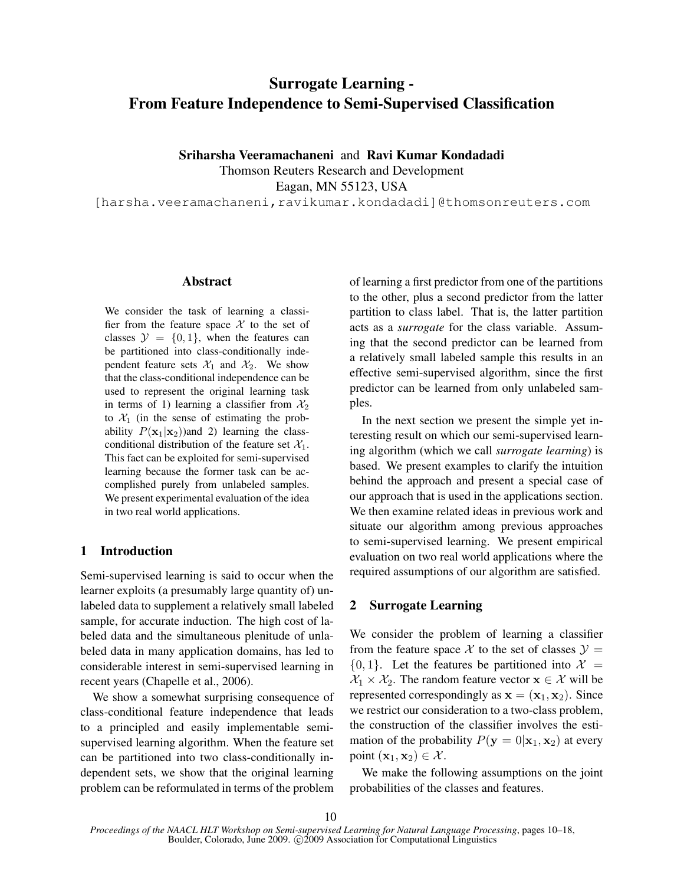# Surrogate Learning - From Feature Independence to Semi-Supervised Classification

Sriharsha Veeramachaneni and Ravi Kumar Kondadadi Thomson Reuters Research and Development

Eagan, MN 55123, USA

[harsha.veeramachaneni, ravikumar.kondadadi]@thomsonreuters.com

### Abstract

We consider the task of learning a classifier from the feature space  $X$  to the set of classes  $\mathcal{Y} = \{0, 1\}$ , when the features can be partitioned into class-conditionally independent feature sets  $\mathcal{X}_1$  and  $\mathcal{X}_2$ . We show that the class-conditional independence can be used to represent the original learning task in terms of 1) learning a classifier from  $\mathcal{X}_2$ to  $X_1$  (in the sense of estimating the probability  $P(\mathbf{x}_1|\mathbf{x}_2)$  and 2) learning the classconditional distribution of the feature set  $\mathcal{X}_1$ . This fact can be exploited for semi-supervised learning because the former task can be accomplished purely from unlabeled samples. We present experimental evaluation of the idea in two real world applications.

### 1 Introduction

Semi-supervised learning is said to occur when the learner exploits (a presumably large quantity of) unlabeled data to supplement a relatively small labeled sample, for accurate induction. The high cost of labeled data and the simultaneous plenitude of unlabeled data in many application domains, has led to considerable interest in semi-supervised learning in recent years (Chapelle et al., 2006).

We show a somewhat surprising consequence of class-conditional feature independence that leads to a principled and easily implementable semisupervised learning algorithm. When the feature set can be partitioned into two class-conditionally independent sets, we show that the original learning problem can be reformulated in terms of the problem of learning a first predictor from one of the partitions to the other, plus a second predictor from the latter partition to class label. That is, the latter partition acts as a *surrogate* for the class variable. Assuming that the second predictor can be learned from a relatively small labeled sample this results in an effective semi-supervised algorithm, since the first predictor can be learned from only unlabeled samples.

In the next section we present the simple yet interesting result on which our semi-supervised learning algorithm (which we call *surrogate learning*) is based. We present examples to clarify the intuition behind the approach and present a special case of our approach that is used in the applications section. We then examine related ideas in previous work and situate our algorithm among previous approaches to semi-supervised learning. We present empirical evaluation on two real world applications where the required assumptions of our algorithm are satisfied.

### 2 Surrogate Learning

We consider the problem of learning a classifier from the feature space X to the set of classes  $\mathcal{Y} =$  $\{0, 1\}$ . Let the features be partitioned into  $\mathcal{X} =$  $X_1 \times X_2$ . The random feature vector  $x \in \mathcal{X}$  will be represented correspondingly as  $\mathbf{x} = (\mathbf{x}_1, \mathbf{x}_2)$ . Since we restrict our consideration to a two-class problem, the construction of the classifier involves the estimation of the probability  $P(\mathbf{y} = 0 | \mathbf{x}_1, \mathbf{x}_2)$  at every point  $(\mathbf{x}_1, \mathbf{x}_2) \in \mathcal{X}$ .

We make the following assumptions on the joint probabilities of the classes and features.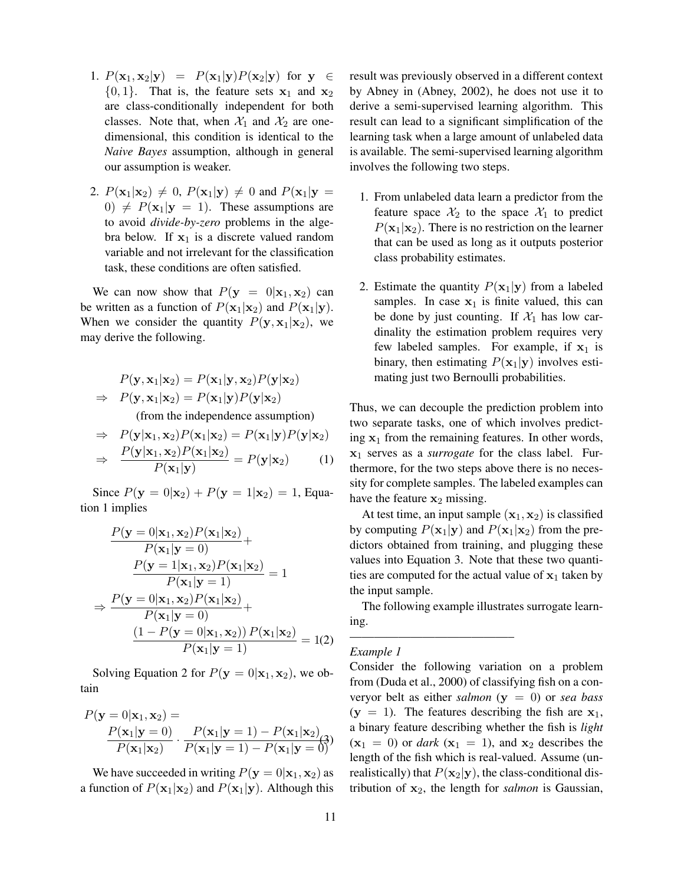- 1.  $P(\mathbf{x}_1, \mathbf{x}_2 | \mathbf{y}) = P(\mathbf{x}_1 | \mathbf{y}) P(\mathbf{x}_2 | \mathbf{y})$  for  $\mathbf{y} \in$  $\{0, 1\}$ . That is, the feature sets  $x_1$  and  $x_2$ are class-conditionally independent for both classes. Note that, when  $\mathcal{X}_1$  and  $\mathcal{X}_2$  are onedimensional, this condition is identical to the *Naive Bayes* assumption, although in general our assumption is weaker.
- 2.  $P(\mathbf{x}_1|\mathbf{x}_2) \neq 0$ ,  $P(\mathbf{x}_1|\mathbf{y}) \neq 0$  and  $P(\mathbf{x}_1|\mathbf{y}) =$ 0)  $\neq$   $P(\mathbf{x}_1|\mathbf{y} = 1)$ . These assumptions are to avoid *divide-by-zero* problems in the algebra below. If  $x_1$  is a discrete valued random variable and not irrelevant for the classification task, these conditions are often satisfied.

We can now show that  $P(y = 0 | x_1, x_2)$  can be written as a function of  $P(\mathbf{x}_1|\mathbf{x}_2)$  and  $P(\mathbf{x}_1|\mathbf{y})$ . When we consider the quantity  $P(\mathbf{y}, \mathbf{x}_1 | \mathbf{x}_2)$ , we may derive the following.

$$
P(\mathbf{y}, \mathbf{x}_1 | \mathbf{x}_2) = P(\mathbf{x}_1 | \mathbf{y}, \mathbf{x}_2) P(\mathbf{y} | \mathbf{x}_2)
$$
  
\n
$$
\Rightarrow P(\mathbf{y}, \mathbf{x}_1 | \mathbf{x}_2) = P(\mathbf{x}_1 | \mathbf{y}) P(\mathbf{y} | \mathbf{x}_2)
$$

(from the independence assumption)

$$
\Rightarrow P(\mathbf{y}|\mathbf{x}_1, \mathbf{x}_2)P(\mathbf{x}_1|\mathbf{x}_2) = P(\mathbf{x}_1|\mathbf{y})P(\mathbf{y}|\mathbf{x}_2)
$$
  
\n
$$
\Rightarrow \frac{P(\mathbf{y}|\mathbf{x}_1, \mathbf{x}_2)P(\mathbf{x}_1|\mathbf{x}_2)}{P(\mathbf{x}_1|\mathbf{y})} = P(\mathbf{y}|\mathbf{x}_2)
$$
 (1)

Since  $P(y = 0 | x_2) + P(y = 1 | x_2) = 1$ , Equation 1 implies

$$
\frac{P(\mathbf{y} = 0|\mathbf{x}_1, \mathbf{x}_2)P(\mathbf{x}_1|\mathbf{x}_2)}{P(\mathbf{x}_1|\mathbf{y} = 0)} +
$$
\n
$$
\frac{P(\mathbf{y} = 1|\mathbf{x}_1, \mathbf{x}_2)P(\mathbf{x}_1|\mathbf{x}_2)}{P(\mathbf{x}_1|\mathbf{y} = 1)} = 1
$$
\n
$$
\Rightarrow \frac{P(\mathbf{y} = 0|\mathbf{x}_1, \mathbf{x}_2)P(\mathbf{x}_1|\mathbf{x}_2)}{P(\mathbf{x}_1|\mathbf{y} = 0)} +
$$
\n
$$
\frac{(1 - P(\mathbf{y} = 0|\mathbf{x}_1, \mathbf{x}_2))P(\mathbf{x}_1|\mathbf{x}_2)}{P(\mathbf{x}_1|\mathbf{y} = 1)} = 1(2)
$$

Solving Equation 2 for  $P(y = 0 | x_1, x_2)$ , we obtain

$$
P(\mathbf{y} = 0|\mathbf{x}_1, \mathbf{x}_2) =
$$
  

$$
\frac{P(\mathbf{x}_1|\mathbf{y} = 0)}{P(\mathbf{x}_1|\mathbf{x}_2)} \cdot \frac{P(\mathbf{x}_1|\mathbf{y} = 1) - P(\mathbf{x}_1|\mathbf{x}_2)}{P(\mathbf{x}_1|\mathbf{y} = 1) - P(\mathbf{x}_1|\mathbf{y} = 0)}
$$

We have succeeded in writing  $P(y = 0 | x_1, x_2)$  as a function of  $P(\mathbf{x}_1|\mathbf{x}_2)$  and  $P(\mathbf{x}_1|\mathbf{y})$ . Although this result was previously observed in a different context by Abney in (Abney, 2002), he does not use it to derive a semi-supervised learning algorithm. This result can lead to a significant simplification of the learning task when a large amount of unlabeled data is available. The semi-supervised learning algorithm involves the following two steps.

- 1. From unlabeled data learn a predictor from the feature space  $\mathcal{X}_2$  to the space  $\mathcal{X}_1$  to predict  $P(\mathbf{x}_1|\mathbf{x}_2)$ . There is no restriction on the learner that can be used as long as it outputs posterior class probability estimates.
- 2. Estimate the quantity  $P(\mathbf{x}_1|\mathbf{y})$  from a labeled samples. In case  $x_1$  is finite valued, this can be done by just counting. If  $\mathcal{X}_1$  has low cardinality the estimation problem requires very few labeled samples. For example, if  $x_1$  is binary, then estimating  $P(\mathbf{x}_1|\mathbf{y})$  involves estimating just two Bernoulli probabilities.

Thus, we can decouple the prediction problem into two separate tasks, one of which involves predicting  $x_1$  from the remaining features. In other words, x<sup>1</sup> serves as a *surrogate* for the class label. Furthermore, for the two steps above there is no necessity for complete samples. The labeled examples can have the feature  $x_2$  missing.

At test time, an input sample  $(x_1, x_2)$  is classified by computing  $P(\mathbf{x}_1|\mathbf{y})$  and  $P(\mathbf{x}_1|\mathbf{x}_2)$  from the predictors obtained from training, and plugging these values into Equation 3. Note that these two quantities are computed for the actual value of  $x_1$  taken by the input sample.

The following example illustrates surrogate learning.

—————————————–

### *Example 1*

Consider the following variation on a problem from (Duda et al., 2000) of classifying fish on a converyor belt as either *salmon* (y = 0) or *sea bass*  $(y = 1)$ . The features describing the fish are  $x_1$ , a binary feature describing whether the fish is *light*  $(x_1 = 0)$  or *dark*  $(x_1 = 1)$ , and  $x_2$  describes the length of the fish which is real-valued. Assume (unrealistically) that  $P(\mathbf{x}_2|\mathbf{y})$ , the class-conditional distribution of  $x_2$ , the length for *salmon* is Gaussian,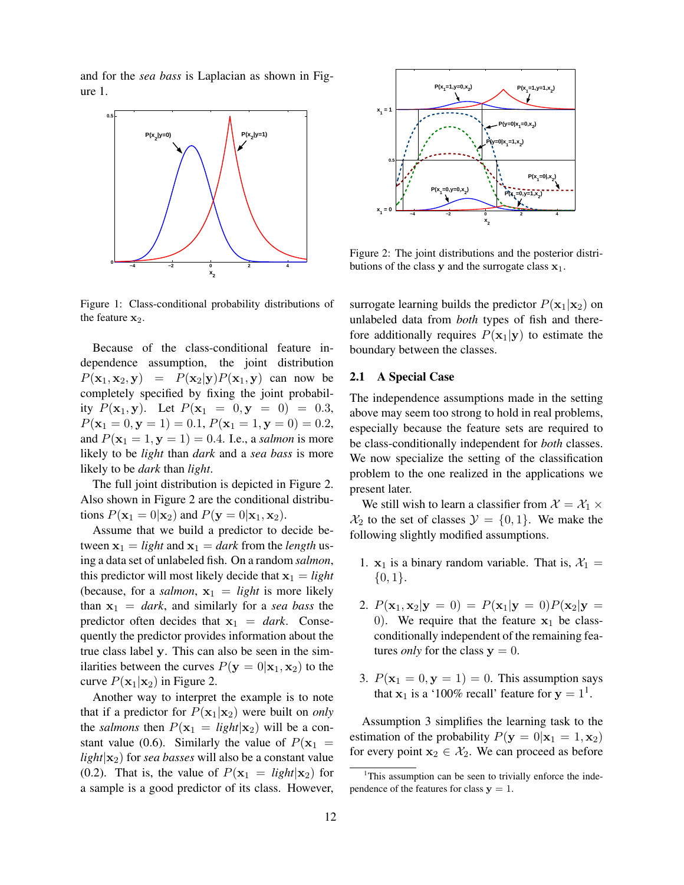and for the *sea bass* is Laplacian as shown in Figure 1.



Figure 1: Class-conditional probability distributions of the feature  $x_2$ .

Because of the class-conditional feature independence assumption, the joint distribution  $P(\mathbf{x}_1, \mathbf{x}_2, \mathbf{y}) = P(\mathbf{x}_2 | \mathbf{y}) P(\mathbf{x}_1, \mathbf{y})$  can now be completely specified by fixing the joint probability  $P(\mathbf{x}_1, \mathbf{y})$ . Let  $P(\mathbf{x}_1 = 0, \mathbf{y} = 0) = 0.3$ ,  $P(\mathbf{x}_1 = 0, \mathbf{y} = 1) = 0.1, P(\mathbf{x}_1 = 1, \mathbf{y} = 0) = 0.2,$ and  $P(\mathbf{x}_1 = 1, \mathbf{y} = 1) = 0.4$ . I.e., a *salmon* is more likely to be *light* than *dark* and a *sea bass* is more likely to be *dark* than *light*.

The full joint distribution is depicted in Figure 2. Also shown in Figure 2 are the conditional distributions  $P(\mathbf{x}_1 = 0 | \mathbf{x}_2)$  and  $P(\mathbf{y} = 0 | \mathbf{x}_1, \mathbf{x}_2)$ .

Assume that we build a predictor to decide between  $x_1 = light$  and  $x_1 = dark$  from the *length* using a data set of unlabeled fish. On a random *salmon*, this predictor will most likely decide that  $x_1 = light$ (because, for a *salmon*,  $x_1 = light$  is more likely than  $x_1 =$  *dark*, and similarly for a *sea bass* the predictor often decides that  $x_1 = dark$ . Consequently the predictor provides information about the true class label y. This can also be seen in the similarities between the curves  $P(y = 0 | x_1, x_2)$  to the curve  $P(\mathbf{x}_1|\mathbf{x}_2)$  in Figure 2.

Another way to interpret the example is to note that if a predictor for  $P(\mathbf{x}_1|\mathbf{x}_2)$  were built on *only* the *salmons* then  $P(\mathbf{x}_1 = light|\mathbf{x}_2)$  will be a constant value (0.6). Similarly the value of  $P(\mathbf{x}_1 =$  $light|\mathbf{x}_2|$  for *sea basses* will also be a constant value (0.2). That is, the value of  $P(\mathbf{x}_1 = light|\mathbf{x}_2)$  for a sample is a good predictor of its class. However,



Figure 2: The joint distributions and the posterior distributions of the class y and the surrogate class  $x_1$ .

surrogate learning builds the predictor  $P(\mathbf{x}_1|\mathbf{x}_2)$  on unlabeled data from *both* types of fish and therefore additionally requires  $P(\mathbf{x}_1|\mathbf{y})$  to estimate the boundary between the classes.

### 2.1 A Special Case

The independence assumptions made in the setting above may seem too strong to hold in real problems, especially because the feature sets are required to be class-conditionally independent for *both* classes. We now specialize the setting of the classification problem to the one realized in the applications we present later.

We still wish to learn a classifier from  $\mathcal{X} = \mathcal{X}_1 \times$  $\mathcal{X}_2$  to the set of classes  $\mathcal{Y} = \{0, 1\}$ . We make the following slightly modified assumptions.

- 1.  $x_1$  is a binary random variable. That is,  $\mathcal{X}_1 =$  $\{0,1\}.$
- 2.  $P(\mathbf{x}_1, \mathbf{x}_2 | \mathbf{y} = 0) = P(\mathbf{x}_1 | \mathbf{y} = 0) P(\mathbf{x}_2 | \mathbf{y} = 0)$ 0). We require that the feature  $x_1$  be classconditionally independent of the remaining features *only* for the class  $y = 0$ .
- 3.  $P(\mathbf{x}_1 = 0, \mathbf{y} = 1) = 0$ . This assumption says that  $x_1$  is a '100% recall' feature for  $y = 1^1$ .

Assumption 3 simplifies the learning task to the estimation of the probability  $P(\mathbf{y} = 0 | \mathbf{x}_1 = 1, \mathbf{x}_2)$ for every point  $x_2 \in \mathcal{X}_2$ . We can proceed as before

<sup>&</sup>lt;sup>1</sup>This assumption can be seen to trivially enforce the independence of the features for class  $y = 1$ .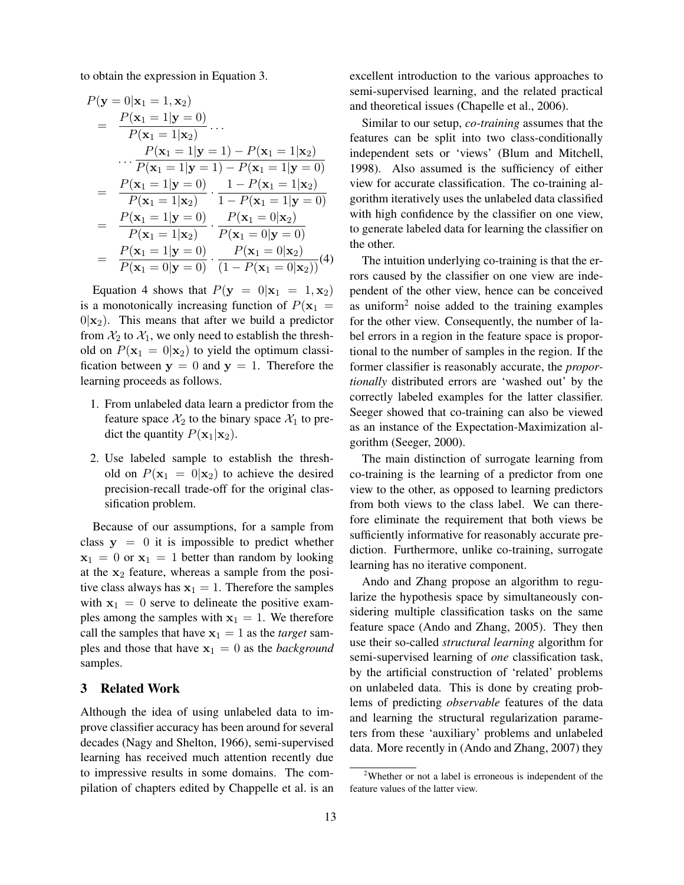to obtain the expression in Equation 3.

$$
P(\mathbf{y} = 0|\mathbf{x}_1 = 1, \mathbf{x}_2)
$$
  
= 
$$
\frac{P(\mathbf{x}_1 = 1|\mathbf{y} = 0)}{P(\mathbf{x}_1 = 1|\mathbf{x}_2)} \dots
$$
  

$$
\dots \frac{P(\mathbf{x}_1 = 1|\mathbf{y} = 1) - P(\mathbf{x}_1 = 1|\mathbf{x}_2)}{P(\mathbf{x}_1 = 1|\mathbf{y} = 1) - P(\mathbf{x}_1 = 1|\mathbf{y} = 0)}
$$
  
= 
$$
\frac{P(\mathbf{x}_1 = 1|\mathbf{y} = 0)}{P(\mathbf{x}_1 = 1|\mathbf{x}_2)} \cdot \frac{1 - P(\mathbf{x}_1 = 1|\mathbf{x}_2)}{1 - P(\mathbf{x}_1 = 1|\mathbf{y} = 0)}
$$
  
= 
$$
\frac{P(\mathbf{x}_1 = 1|\mathbf{y} = 0)}{P(\mathbf{x}_1 = 1|\mathbf{x}_2)} \cdot \frac{P(\mathbf{x}_1 = 0|\mathbf{x}_2)}{P(\mathbf{x}_1 = 0|\mathbf{y} = 0)}
$$
  
= 
$$
\frac{P(\mathbf{x}_1 = 1|\mathbf{y} = 0)}{P(\mathbf{x}_1 = 0|\mathbf{y} = 0)} \cdot \frac{P(\mathbf{x}_1 = 0|\mathbf{x}_2)}{(1 - P(\mathbf{x}_1 = 0|\mathbf{x}_2))}(4)
$$

Equation 4 shows that  $P(y = 0|x_1 = 1, x_2)$ is a monotonically increasing function of  $P(\mathbf{x}_1 =$  $0|\mathbf{x}_2|$ . This means that after we build a predictor from  $\mathcal{X}_2$  to  $\mathcal{X}_1$ , we only need to establish the threshold on  $P(\mathbf{x}_1 = 0 | \mathbf{x}_2)$  to yield the optimum classification between  $y = 0$  and  $y = 1$ . Therefore the learning proceeds as follows.

- 1. From unlabeled data learn a predictor from the feature space  $\mathcal{X}_2$  to the binary space  $\mathcal{X}_1$  to predict the quantity  $P(\mathbf{x}_1|\mathbf{x}_2)$ .
- 2. Use labeled sample to establish the threshold on  $P(\mathbf{x}_1 = 0 | \mathbf{x}_2)$  to achieve the desired precision-recall trade-off for the original classification problem.

Because of our assumptions, for a sample from class  $y = 0$  it is impossible to predict whether  $x_1 = 0$  or  $x_1 = 1$  better than random by looking at the  $x_2$  feature, whereas a sample from the positive class always has  $x_1 = 1$ . Therefore the samples with  $x_1 = 0$  serve to delineate the positive examples among the samples with  $x_1 = 1$ . We therefore call the samples that have  $x_1 = 1$  as the *target* samples and those that have  $x_1 = 0$  as the *background* samples.

# 3 Related Work

Although the idea of using unlabeled data to improve classifier accuracy has been around for several decades (Nagy and Shelton, 1966), semi-supervised learning has received much attention recently due to impressive results in some domains. The compilation of chapters edited by Chappelle et al. is an excellent introduction to the various approaches to semi-supervised learning, and the related practical and theoretical issues (Chapelle et al., 2006).

Similar to our setup, *co-training* assumes that the features can be split into two class-conditionally independent sets or 'views' (Blum and Mitchell, 1998). Also assumed is the sufficiency of either view for accurate classification. The co-training algorithm iteratively uses the unlabeled data classified with high confidence by the classifier on one view, to generate labeled data for learning the classifier on the other.

The intuition underlying co-training is that the errors caused by the classifier on one view are independent of the other view, hence can be conceived as uniform<sup>2</sup> noise added to the training examples for the other view. Consequently, the number of label errors in a region in the feature space is proportional to the number of samples in the region. If the former classifier is reasonably accurate, the *proportionally* distributed errors are 'washed out' by the correctly labeled examples for the latter classifier. Seeger showed that co-training can also be viewed as an instance of the Expectation-Maximization algorithm (Seeger, 2000).

The main distinction of surrogate learning from co-training is the learning of a predictor from one view to the other, as opposed to learning predictors from both views to the class label. We can therefore eliminate the requirement that both views be sufficiently informative for reasonably accurate prediction. Furthermore, unlike co-training, surrogate learning has no iterative component.

Ando and Zhang propose an algorithm to regularize the hypothesis space by simultaneously considering multiple classification tasks on the same feature space (Ando and Zhang, 2005). They then use their so-called *structural learning* algorithm for semi-supervised learning of *one* classification task, by the artificial construction of 'related' problems on unlabeled data. This is done by creating problems of predicting *observable* features of the data and learning the structural regularization parameters from these 'auxiliary' problems and unlabeled data. More recently in (Ando and Zhang, 2007) they

 $2$ Whether or not a label is erroneous is independent of the feature values of the latter view.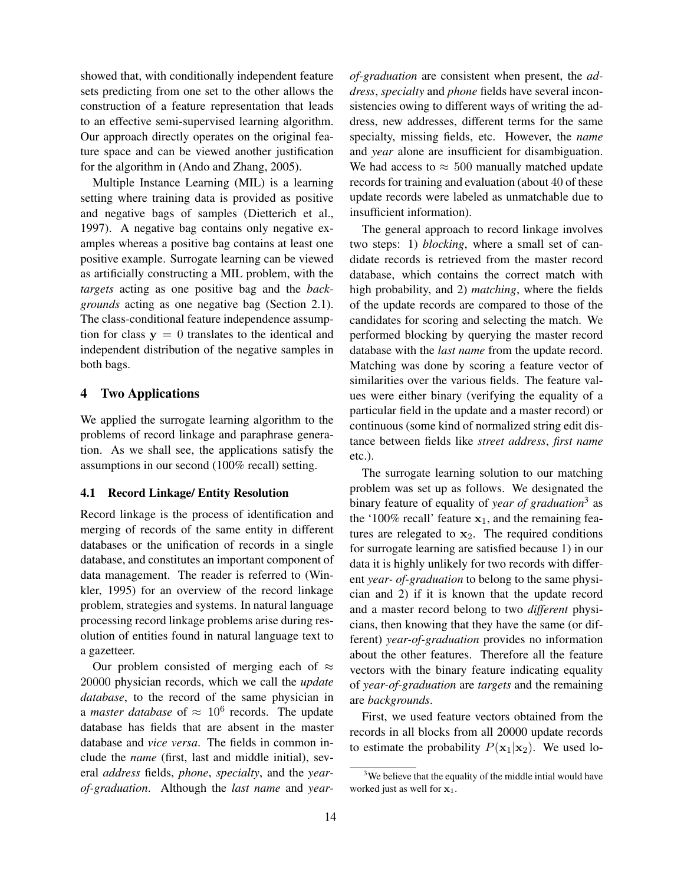showed that, with conditionally independent feature sets predicting from one set to the other allows the construction of a feature representation that leads to an effective semi-supervised learning algorithm. Our approach directly operates on the original feature space and can be viewed another justification for the algorithm in (Ando and Zhang, 2005).

Multiple Instance Learning (MIL) is a learning setting where training data is provided as positive and negative bags of samples (Dietterich et al., 1997). A negative bag contains only negative examples whereas a positive bag contains at least one positive example. Surrogate learning can be viewed as artificially constructing a MIL problem, with the *targets* acting as one positive bag and the *backgrounds* acting as one negative bag (Section 2.1). The class-conditional feature independence assumption for class  $y = 0$  translates to the identical and independent distribution of the negative samples in both bags.

# 4 Two Applications

We applied the surrogate learning algorithm to the problems of record linkage and paraphrase generation. As we shall see, the applications satisfy the assumptions in our second (100% recall) setting.

### 4.1 Record Linkage/ Entity Resolution

Record linkage is the process of identification and merging of records of the same entity in different databases or the unification of records in a single database, and constitutes an important component of data management. The reader is referred to (Winkler, 1995) for an overview of the record linkage problem, strategies and systems. In natural language processing record linkage problems arise during resolution of entities found in natural language text to a gazetteer.

Our problem consisted of merging each of  $\approx$ 20000 physician records, which we call the *update database*, to the record of the same physician in a *master database* of  $\approx 10^6$  records. The update database has fields that are absent in the master database and *vice versa*. The fields in common include the *name* (first, last and middle initial), several *address* fields, *phone*, *specialty*, and the *yearof-graduation*. Although the *last name* and *year-* *of-graduation* are consistent when present, the *address*, *specialty* and *phone* fields have several inconsistencies owing to different ways of writing the address, new addresses, different terms for the same specialty, missing fields, etc. However, the *name* and *year* alone are insufficient for disambiguation. We had access to  $\approx 500$  manually matched update records for training and evaluation (about 40 of these update records were labeled as unmatchable due to insufficient information).

The general approach to record linkage involves two steps: 1) *blocking*, where a small set of candidate records is retrieved from the master record database, which contains the correct match with high probability, and 2) *matching*, where the fields of the update records are compared to those of the candidates for scoring and selecting the match. We performed blocking by querying the master record database with the *last name* from the update record. Matching was done by scoring a feature vector of similarities over the various fields. The feature values were either binary (verifying the equality of a particular field in the update and a master record) or continuous (some kind of normalized string edit distance between fields like *street address*, *first name* etc.).

The surrogate learning solution to our matching problem was set up as follows. We designated the binary feature of equality of *year of graduation*<sup>3</sup> as the '100% recall' feature  $x_1$ , and the remaining features are relegated to  $x_2$ . The required conditions for surrogate learning are satisfied because 1) in our data it is highly unlikely for two records with different *year- of-graduation* to belong to the same physician and 2) if it is known that the update record and a master record belong to two *different* physicians, then knowing that they have the same (or different) *year-of-graduation* provides no information about the other features. Therefore all the feature vectors with the binary feature indicating equality of *year-of-graduation* are *targets* and the remaining are *backgrounds*.

First, we used feature vectors obtained from the records in all blocks from all 20000 update records to estimate the probability  $P(\mathbf{x}_1|\mathbf{x}_2)$ . We used lo-

 $3$ We believe that the equality of the middle intial would have worked just as well for  $x_1$ .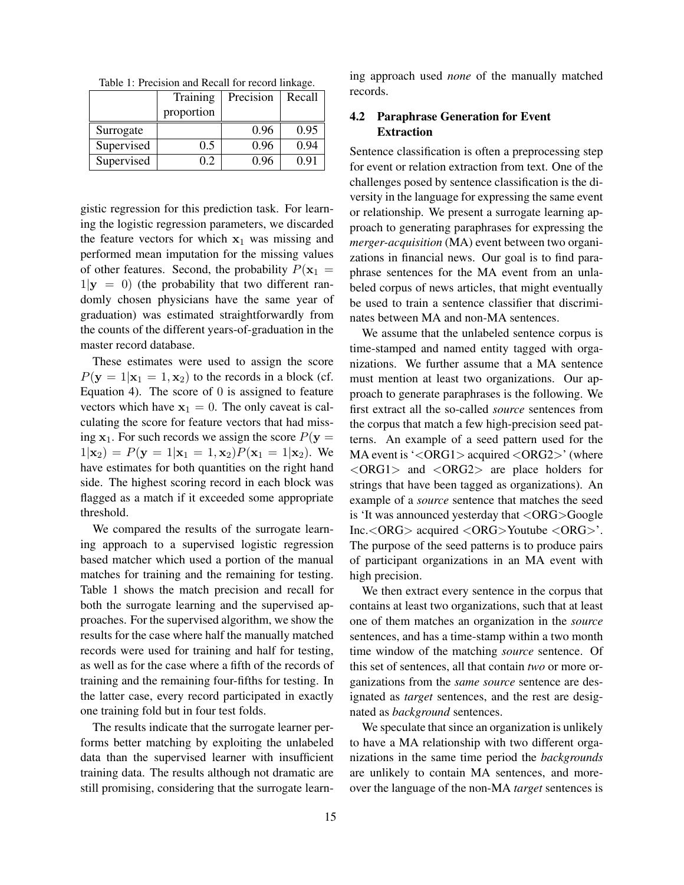Table 1: Precision and Recall for record linkage.

|            | Training   | Precision | Recall |
|------------|------------|-----------|--------|
|            | proportion |           |        |
| Surrogate  |            | 0.96      | 0.95   |
| Supervised | 0.5        | 0.96      | 0.94   |
| Supervised | 0.2        | 0.96      | 0.91   |

gistic regression for this prediction task. For learning the logistic regression parameters, we discarded the feature vectors for which  $x_1$  was missing and performed mean imputation for the missing values of other features. Second, the probability  $P(\mathbf{x}_1 =$  $1|\mathbf{y}| = 0$ ) (the probability that two different randomly chosen physicians have the same year of graduation) was estimated straightforwardly from the counts of the different years-of-graduation in the master record database.

These estimates were used to assign the score  $P(y = 1|x_1 = 1, x_2)$  to the records in a block (cf. Equation 4). The score of  $\theta$  is assigned to feature vectors which have  $x_1 = 0$ . The only caveat is calculating the score for feature vectors that had missing  $x_1$ . For such records we assign the score  $P(y =$  $1|\mathbf{x}_2| = P(\mathbf{y} = 1|\mathbf{x}_1 = 1, \mathbf{x}_2)P(\mathbf{x}_1 = 1|\mathbf{x}_2)$ . We have estimates for both quantities on the right hand side. The highest scoring record in each block was flagged as a match if it exceeded some appropriate threshold.

We compared the results of the surrogate learning approach to a supervised logistic regression based matcher which used a portion of the manual matches for training and the remaining for testing. Table 1 shows the match precision and recall for both the surrogate learning and the supervised approaches. For the supervised algorithm, we show the results for the case where half the manually matched records were used for training and half for testing, as well as for the case where a fifth of the records of training and the remaining four-fifths for testing. In the latter case, every record participated in exactly one training fold but in four test folds.

The results indicate that the surrogate learner performs better matching by exploiting the unlabeled data than the supervised learner with insufficient training data. The results although not dramatic are still promising, considering that the surrogate learning approach used *none* of the manually matched records.

# 4.2 Paraphrase Generation for Event Extraction

Sentence classification is often a preprocessing step for event or relation extraction from text. One of the challenges posed by sentence classification is the diversity in the language for expressing the same event or relationship. We present a surrogate learning approach to generating paraphrases for expressing the *merger-acquisition* (MA) event between two organizations in financial news. Our goal is to find paraphrase sentences for the MA event from an unlabeled corpus of news articles, that might eventually be used to train a sentence classifier that discriminates between MA and non-MA sentences.

We assume that the unlabeled sentence corpus is time-stamped and named entity tagged with organizations. We further assume that a MA sentence must mention at least two organizations. Our approach to generate paraphrases is the following. We first extract all the so-called *source* sentences from the corpus that match a few high-precision seed patterns. An example of a seed pattern used for the MA event is '<ORG1> acquired <ORG2>' (where <ORG1> and <ORG2> are place holders for strings that have been tagged as organizations). An example of a *source* sentence that matches the seed is 'It was announced yesterday that <ORG>Google Inc.<ORG> acquired <ORG>Youtube <ORG>'. The purpose of the seed patterns is to produce pairs of participant organizations in an MA event with high precision.

We then extract every sentence in the corpus that contains at least two organizations, such that at least one of them matches an organization in the *source* sentences, and has a time-stamp within a two month time window of the matching *source* sentence. Of this set of sentences, all that contain *two* or more organizations from the *same source* sentence are designated as *target* sentences, and the rest are designated as *background* sentences.

We speculate that since an organization is unlikely to have a MA relationship with two different organizations in the same time period the *backgrounds* are unlikely to contain MA sentences, and moreover the language of the non-MA *target* sentences is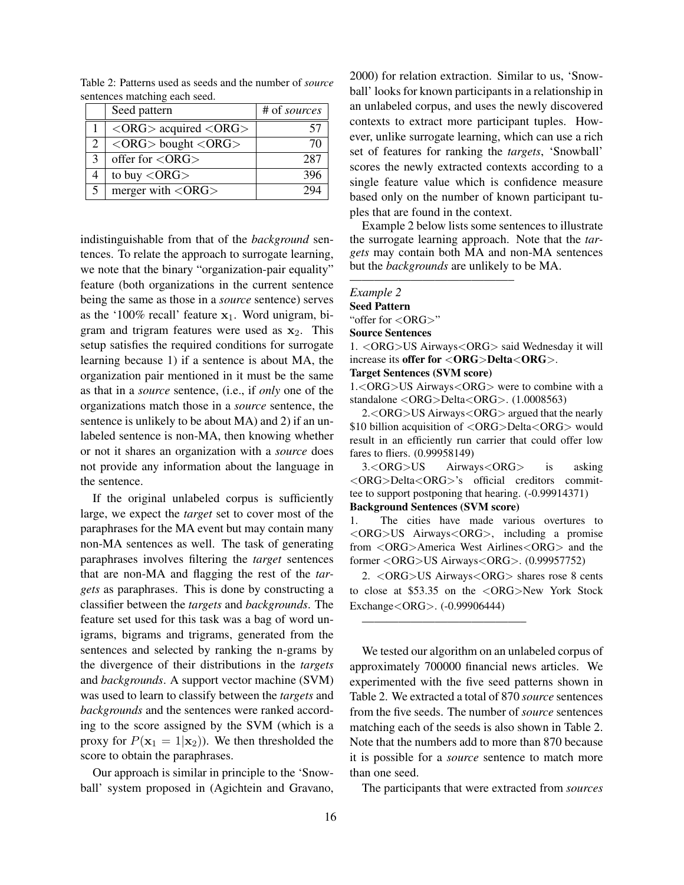|               | Seed pattern                                                       | # of sources |
|---------------|--------------------------------------------------------------------|--------------|
|               | $\langle \text{ORG} \rangle$ acquired $\langle \text{ORG} \rangle$ |              |
|               | $\langle \text{ORG} \rangle$ bought $\langle \text{ORG} \rangle$   | 71.          |
| $\mathcal{E}$ | offer for $\langle$ ORG $>$                                        | 287          |
|               | to buy $\langle \text{ORG} \rangle$                                | 396          |
|               | merger with $\langle \text{ORG} \rangle$                           |              |

Table 2: Patterns used as seeds and the number of *source* sentences matching each seed.

indistinguishable from that of the *background* sentences. To relate the approach to surrogate learning, we note that the binary "organization-pair equality" feature (both organizations in the current sentence being the same as those in a *source* sentence) serves as the '100% recall' feature  $x_1$ . Word unigram, bigram and trigram features were used as  $x_2$ . This setup satisfies the required conditions for surrogate learning because 1) if a sentence is about MA, the organization pair mentioned in it must be the same as that in a *source* sentence, (i.e., if *only* one of the organizations match those in a *source* sentence, the sentence is unlikely to be about MA) and 2) if an unlabeled sentence is non-MA, then knowing whether or not it shares an organization with a *source* does not provide any information about the language in the sentence.

If the original unlabeled corpus is sufficiently large, we expect the *target* set to cover most of the paraphrases for the MA event but may contain many non-MA sentences as well. The task of generating paraphrases involves filtering the *target* sentences that are non-MA and flagging the rest of the *targets* as paraphrases. This is done by constructing a classifier between the *targets* and *backgrounds*. The feature set used for this task was a bag of word unigrams, bigrams and trigrams, generated from the sentences and selected by ranking the n-grams by the divergence of their distributions in the *targets* and *backgrounds*. A support vector machine (SVM) was used to learn to classify between the *targets* and *backgrounds* and the sentences were ranked according to the score assigned by the SVM (which is a proxy for  $P(\mathbf{x}_1 = 1 | \mathbf{x}_2)$ . We then thresholded the score to obtain the paraphrases.

Our approach is similar in principle to the 'Snowball' system proposed in (Agichtein and Gravano, 2000) for relation extraction. Similar to us, 'Snowball' looks for known participants in a relationship in an unlabeled corpus, and uses the newly discovered contexts to extract more participant tuples. However, unlike surrogate learning, which can use a rich set of features for ranking the *targets*, 'Snowball' scores the newly extracted contexts according to a single feature value which is confidence measure based only on the number of known participant tuples that are found in the context.

Example 2 below lists some sentences to illustrate the surrogate learning approach. Note that the *targets* may contain both MA and non-MA sentences but the *backgrounds* are unlikely to be MA.

#### *Example 2*

Seed Pattern

"offer for <ORG>"

Source Sentences

1. <ORG>US Airways<ORG> said Wednesday it will increase its offer for  $\langle ORG\rangle$ Delta $\langle ORG\rangle$ .

#### Target Sentences (SVM score)

—————————————–

1.<ORG>US Airways<ORG> were to combine with a standalone <ORG>Delta<ORG>. (1.0008563)

2.<ORG>US Airways<ORG> argued that the nearly \$10 billion acquisition of <ORG>Delta<ORG> would result in an efficiently run carrier that could offer low fares to fliers. (0.99958149)

3.<ORG>US Airways<ORG> is asking <ORG>Delta<ORG>'s official creditors committee to support postponing that hearing. (-0.99914371) Background Sentences (SVM score)

1. The cities have made various overtures to <ORG>US Airways<ORG>, including a promise from <ORG>America West Airlines<ORG> and the former <ORG>US Airways<ORG>. (0.99957752)

2. <ORG>US Airways<ORG> shares rose 8 cents to close at \$53.35 on the <ORG>New York Stock Exchange<ORG>. (-0.99906444)

—————————————–

We tested our algorithm on an unlabeled corpus of approximately 700000 financial news articles. We experimented with the five seed patterns shown in Table 2. We extracted a total of 870 *source* sentences from the five seeds. The number of *source* sentences matching each of the seeds is also shown in Table 2. Note that the numbers add to more than 870 because it is possible for a *source* sentence to match more than one seed.

The participants that were extracted from *sources*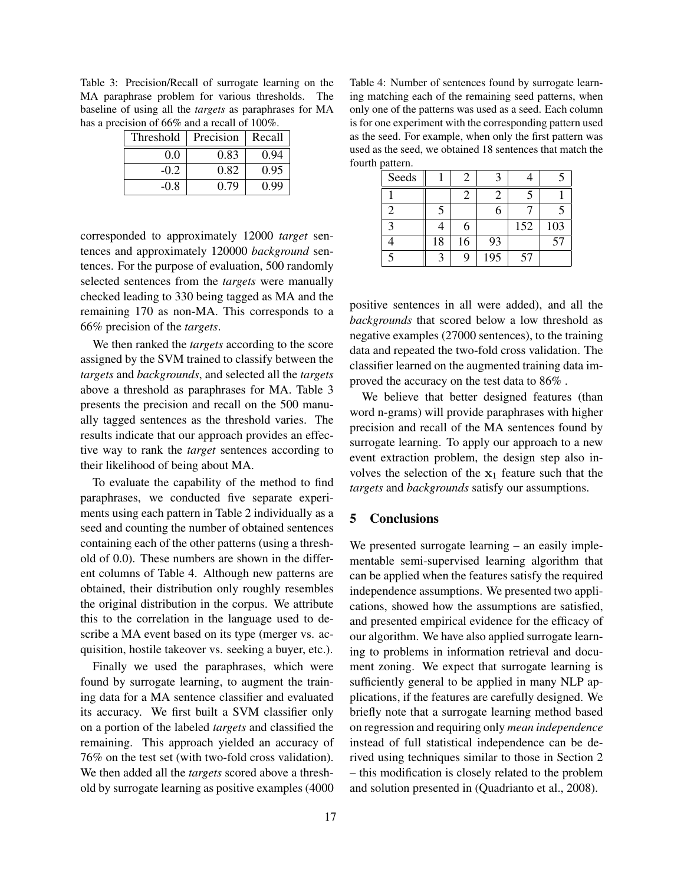Table 3: Precision/Recall of surrogate learning on the MA paraphrase problem for various thresholds. The baseline of using all the *targets* as paraphrases for MA has a precision of 66% and a recall of 100%.

| Threshold | Precision | Recall |
|-----------|-----------|--------|
| 0.0       | 0.83      | 0.94   |
| -0.2      | 0.82      | 0.95   |
| -0.8      | 0.79      | 0.99   |

corresponded to approximately 12000 *target* sentences and approximately 120000 *background* sentences. For the purpose of evaluation, 500 randomly selected sentences from the *targets* were manually checked leading to 330 being tagged as MA and the remaining 170 as non-MA. This corresponds to a 66% precision of the *targets*.

We then ranked the *targets* according to the score assigned by the SVM trained to classify between the *targets* and *backgrounds*, and selected all the *targets* above a threshold as paraphrases for MA. Table 3 presents the precision and recall on the 500 manually tagged sentences as the threshold varies. The results indicate that our approach provides an effective way to rank the *target* sentences according to their likelihood of being about MA.

To evaluate the capability of the method to find paraphrases, we conducted five separate experiments using each pattern in Table 2 individually as a seed and counting the number of obtained sentences containing each of the other patterns (using a threshold of 0.0). These numbers are shown in the different columns of Table 4. Although new patterns are obtained, their distribution only roughly resembles the original distribution in the corpus. We attribute this to the correlation in the language used to describe a MA event based on its type (merger vs. acquisition, hostile takeover vs. seeking a buyer, etc.).

Finally we used the paraphrases, which were found by surrogate learning, to augment the training data for a MA sentence classifier and evaluated its accuracy. We first built a SVM classifier only on a portion of the labeled *targets* and classified the remaining. This approach yielded an accuracy of 76% on the test set (with two-fold cross validation). We then added all the *targets* scored above a threshold by surrogate learning as positive examples (4000

Table 4: Number of sentences found by surrogate learning matching each of the remaining seed patterns, when only one of the patterns was used as a seed. Each column is for one experiment with the corresponding pattern used as the seed. For example, when only the first pattern was used as the seed, we obtained 18 sentences that match the fourth pattern.

| Seeds          |    | $\mathcal{L}$               |     |     |     |
|----------------|----|-----------------------------|-----|-----|-----|
|                |    | $\mathcal{D}_{\mathcal{A}}$ |     |     |     |
| $\mathfrak{D}$ |    |                             | 6   |     |     |
| $\mathbf 3$    |    | 6                           |     | 152 | 103 |
|                | 18 | 16                          | 93  |     | 57  |
|                |    | 9                           | 195 | 57  |     |

positive sentences in all were added), and all the *backgrounds* that scored below a low threshold as negative examples (27000 sentences), to the training data and repeated the two-fold cross validation. The classifier learned on the augmented training data improved the accuracy on the test data to 86% .

We believe that better designed features (than word n-grams) will provide paraphrases with higher precision and recall of the MA sentences found by surrogate learning. To apply our approach to a new event extraction problem, the design step also involves the selection of the  $x_1$  feature such that the *targets* and *backgrounds* satisfy our assumptions.

# 5 Conclusions

We presented surrogate learning – an easily implementable semi-supervised learning algorithm that can be applied when the features satisfy the required independence assumptions. We presented two applications, showed how the assumptions are satisfied, and presented empirical evidence for the efficacy of our algorithm. We have also applied surrogate learning to problems in information retrieval and document zoning. We expect that surrogate learning is sufficiently general to be applied in many NLP applications, if the features are carefully designed. We briefly note that a surrogate learning method based on regression and requiring only *mean independence* instead of full statistical independence can be derived using techniques similar to those in Section 2 – this modification is closely related to the problem and solution presented in (Quadrianto et al., 2008).